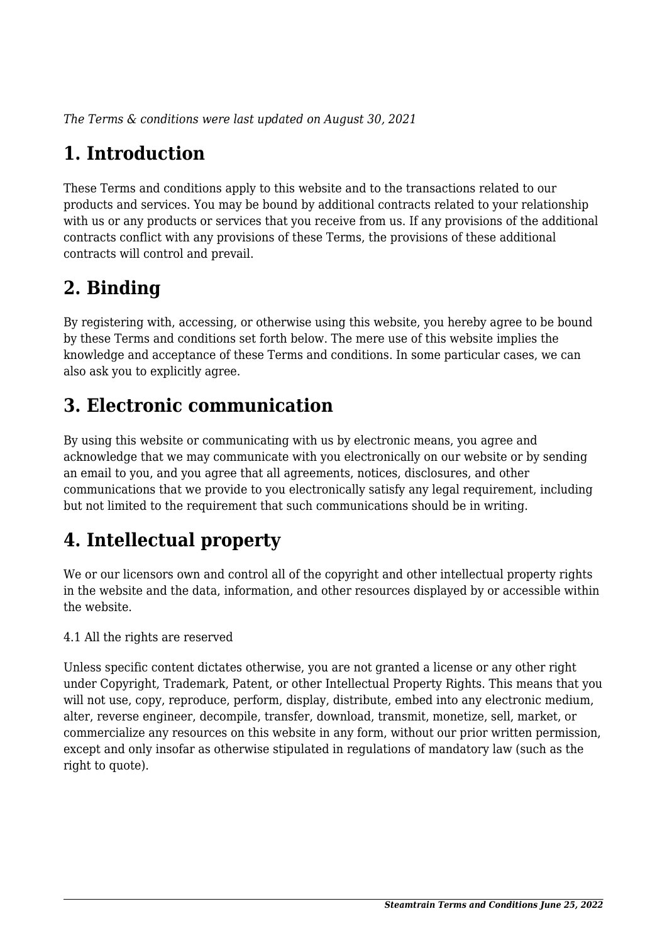*The Terms & conditions were last updated on August 30, 2021*

# **1. Introduction**

These Terms and conditions apply to this website and to the transactions related to our products and services. You may be bound by additional contracts related to your relationship with us or any products or services that you receive from us. If any provisions of the additional contracts conflict with any provisions of these Terms, the provisions of these additional contracts will control and prevail.

## **2. Binding**

By registering with, accessing, or otherwise using this website, you hereby agree to be bound by these Terms and conditions set forth below. The mere use of this website implies the knowledge and acceptance of these Terms and conditions. In some particular cases, we can also ask you to explicitly agree.

# **3. Electronic communication**

By using this website or communicating with us by electronic means, you agree and acknowledge that we may communicate with you electronically on our website or by sending an email to you, and you agree that all agreements, notices, disclosures, and other communications that we provide to you electronically satisfy any legal requirement, including but not limited to the requirement that such communications should be in writing.

# **4. Intellectual property**

We or our licensors own and control all of the copyright and other intellectual property rights in the website and the data, information, and other resources displayed by or accessible within the website.

4.1 All the rights are reserved

Unless specific content dictates otherwise, you are not granted a license or any other right under Copyright, Trademark, Patent, or other Intellectual Property Rights. This means that you will not use, copy, reproduce, perform, display, distribute, embed into any electronic medium, alter, reverse engineer, decompile, transfer, download, transmit, monetize, sell, market, or commercialize any resources on this website in any form, without our prior written permission, except and only insofar as otherwise stipulated in regulations of mandatory law (such as the right to quote).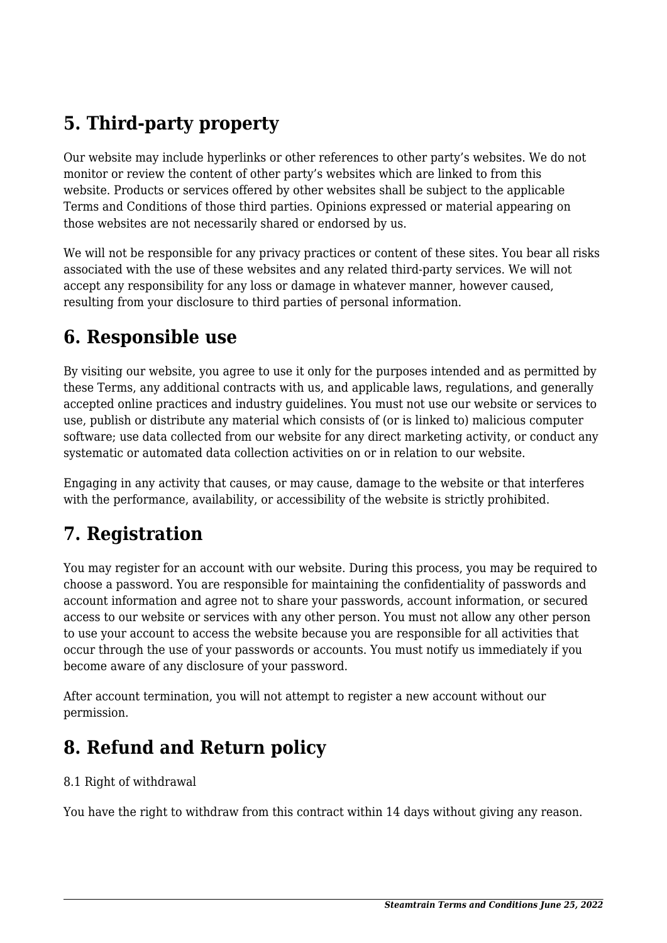# **5. Third-party property**

Our website may include hyperlinks or other references to other party's websites. We do not monitor or review the content of other party's websites which are linked to from this website. Products or services offered by other websites shall be subject to the applicable Terms and Conditions of those third parties. Opinions expressed or material appearing on those websites are not necessarily shared or endorsed by us.

We will not be responsible for any privacy practices or content of these sites. You bear all risks associated with the use of these websites and any related third-party services. We will not accept any responsibility for any loss or damage in whatever manner, however caused, resulting from your disclosure to third parties of personal information.

#### **6. Responsible use**

By visiting our website, you agree to use it only for the purposes intended and as permitted by these Terms, any additional contracts with us, and applicable laws, regulations, and generally accepted online practices and industry guidelines. You must not use our website or services to use, publish or distribute any material which consists of (or is linked to) malicious computer software; use data collected from our website for any direct marketing activity, or conduct any systematic or automated data collection activities on or in relation to our website.

Engaging in any activity that causes, or may cause, damage to the website or that interferes with the performance, availability, or accessibility of the website is strictly prohibited.

## **7. Registration**

You may register for an account with our website. During this process, you may be required to choose a password. You are responsible for maintaining the confidentiality of passwords and account information and agree not to share your passwords, account information, or secured access to our website or services with any other person. You must not allow any other person to use your account to access the website because you are responsible for all activities that occur through the use of your passwords or accounts. You must notify us immediately if you become aware of any disclosure of your password.

After account termination, you will not attempt to register a new account without our permission.

## **8. Refund and Return policy**

#### 8.1 Right of withdrawal

You have the right to withdraw from this contract within 14 days without giving any reason.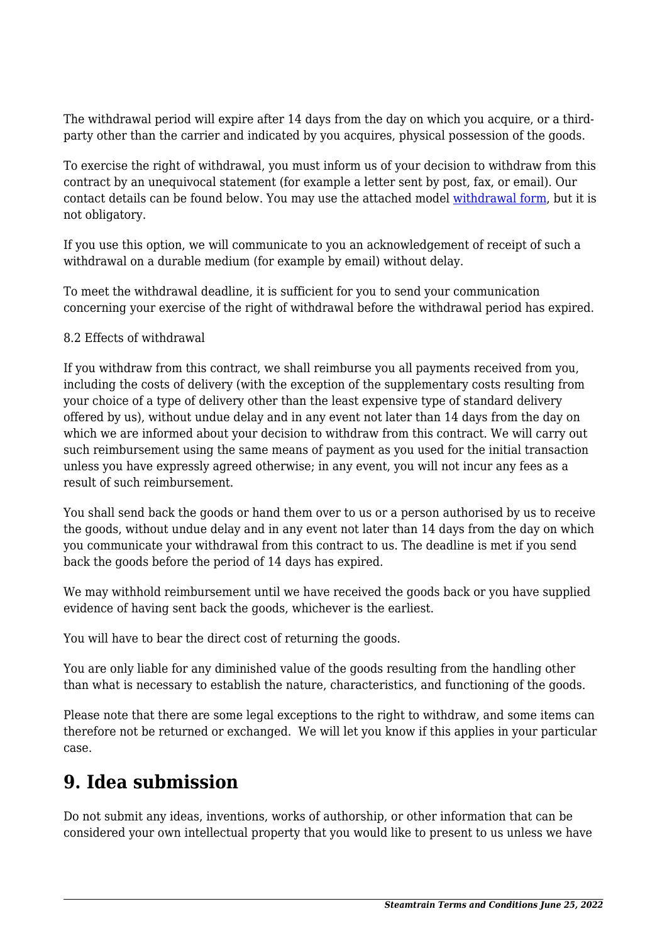The withdrawal period will expire after 14 days from the day on which you acquire, or a thirdparty other than the carrier and indicated by you acquires, physical possession of the goods.

To exercise the right of withdrawal, you must inform us of your decision to withdraw from this contract by an unequivocal statement (for example a letter sent by post, fax, or email). Our contact details can be found below. You may use the attached model [withdrawal form](https://steamtrain.com.cy/wp-content/uploads/complianz/withdrawal-forms/withdrawal-form-en.pdf), but it is not obligatory.

If you use this option, we will communicate to you an acknowledgement of receipt of such a withdrawal on a durable medium (for example by email) without delay.

To meet the withdrawal deadline, it is sufficient for you to send your communication concerning your exercise of the right of withdrawal before the withdrawal period has expired.

#### 8.2 Effects of withdrawal

If you withdraw from this contract, we shall reimburse you all payments received from you, including the costs of delivery (with the exception of the supplementary costs resulting from your choice of a type of delivery other than the least expensive type of standard delivery offered by us), without undue delay and in any event not later than 14 days from the day on which we are informed about your decision to withdraw from this contract. We will carry out such reimbursement using the same means of payment as you used for the initial transaction unless you have expressly agreed otherwise; in any event, you will not incur any fees as a result of such reimbursement.

You shall send back the goods or hand them over to us or a person authorised by us to receive the goods, without undue delay and in any event not later than 14 days from the day on which you communicate your withdrawal from this contract to us. The deadline is met if you send back the goods before the period of 14 days has expired.

We may withhold reimbursement until we have received the goods back or you have supplied evidence of having sent back the goods, whichever is the earliest.

You will have to bear the direct cost of returning the goods.

You are only liable for any diminished value of the goods resulting from the handling other than what is necessary to establish the nature, characteristics, and functioning of the goods.

Please note that there are some legal exceptions to the right to withdraw, and some items can therefore not be returned or exchanged. We will let you know if this applies in your particular case.

#### **9. Idea submission**

Do not submit any ideas, inventions, works of authorship, or other information that can be considered your own intellectual property that you would like to present to us unless we have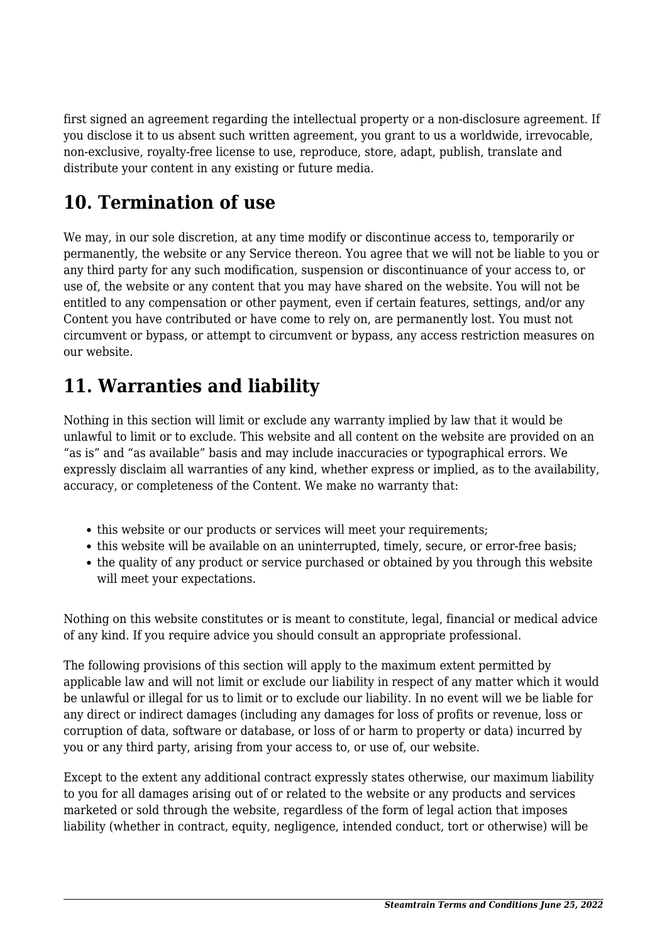first signed an agreement regarding the intellectual property or a non-disclosure agreement. If you disclose it to us absent such written agreement, you grant to us a worldwide, irrevocable, non-exclusive, royalty-free license to use, reproduce, store, adapt, publish, translate and distribute your content in any existing or future media.

## **10. Termination of use**

We may, in our sole discretion, at any time modify or discontinue access to, temporarily or permanently, the website or any Service thereon. You agree that we will not be liable to you or any third party for any such modification, suspension or discontinuance of your access to, or use of, the website or any content that you may have shared on the website. You will not be entitled to any compensation or other payment, even if certain features, settings, and/or any Content you have contributed or have come to rely on, are permanently lost. You must not circumvent or bypass, or attempt to circumvent or bypass, any access restriction measures on our website.

## **11. Warranties and liability**

Nothing in this section will limit or exclude any warranty implied by law that it would be unlawful to limit or to exclude. This website and all content on the website are provided on an "as is" and "as available" basis and may include inaccuracies or typographical errors. We expressly disclaim all warranties of any kind, whether express or implied, as to the availability, accuracy, or completeness of the Content. We make no warranty that:

- this website or our products or services will meet your requirements;
- this website will be available on an uninterrupted, timely, secure, or error-free basis;
- the quality of any product or service purchased or obtained by you through this website will meet your expectations.

Nothing on this website constitutes or is meant to constitute, legal, financial or medical advice of any kind. If you require advice you should consult an appropriate professional.

The following provisions of this section will apply to the maximum extent permitted by applicable law and will not limit or exclude our liability in respect of any matter which it would be unlawful or illegal for us to limit or to exclude our liability. In no event will we be liable for any direct or indirect damages (including any damages for loss of profits or revenue, loss or corruption of data, software or database, or loss of or harm to property or data) incurred by you or any third party, arising from your access to, or use of, our website.

Except to the extent any additional contract expressly states otherwise, our maximum liability to you for all damages arising out of or related to the website or any products and services marketed or sold through the website, regardless of the form of legal action that imposes liability (whether in contract, equity, negligence, intended conduct, tort or otherwise) will be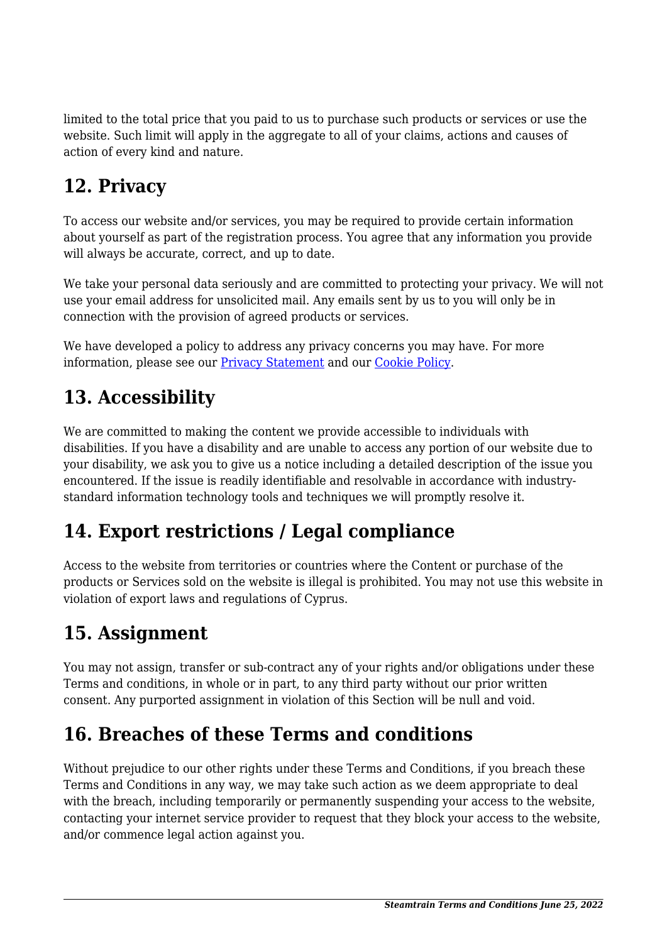limited to the total price that you paid to us to purchase such products or services or use the website. Such limit will apply in the aggregate to all of your claims, actions and causes of action of every kind and nature.

# **12. Privacy**

To access our website and/or services, you may be required to provide certain information about yourself as part of the registration process. You agree that any information you provide will always be accurate, correct, and up to date.

We take your personal data seriously and are committed to protecting your privacy. We will not use your email address for unsolicited mail. Any emails sent by us to you will only be in connection with the provision of agreed products or services.

We have developed a policy to address any privacy concerns you may have. For more information, please see our [Privacy Statement](https://steamtrain.com.cy/privacy-policy/) and our [Cookie Policy](https://steamtrain.com.cy/cookie-policy-eu/).

## **13. Accessibility**

We are committed to making the content we provide accessible to individuals with disabilities. If you have a disability and are unable to access any portion of our website due to your disability, we ask you to give us a notice including a detailed description of the issue you encountered. If the issue is readily identifiable and resolvable in accordance with industrystandard information technology tools and techniques we will promptly resolve it.

# **14. Export restrictions / Legal compliance**

Access to the website from territories or countries where the Content or purchase of the products or Services sold on the website is illegal is prohibited. You may not use this website in violation of export laws and regulations of Cyprus.

## **15. Assignment**

You may not assign, transfer or sub-contract any of your rights and/or obligations under these Terms and conditions, in whole or in part, to any third party without our prior written consent. Any purported assignment in violation of this Section will be null and void.

#### **16. Breaches of these Terms and conditions**

Without prejudice to our other rights under these Terms and Conditions, if you breach these Terms and Conditions in any way, we may take such action as we deem appropriate to deal with the breach, including temporarily or permanently suspending your access to the website, contacting your internet service provider to request that they block your access to the website, and/or commence legal action against you.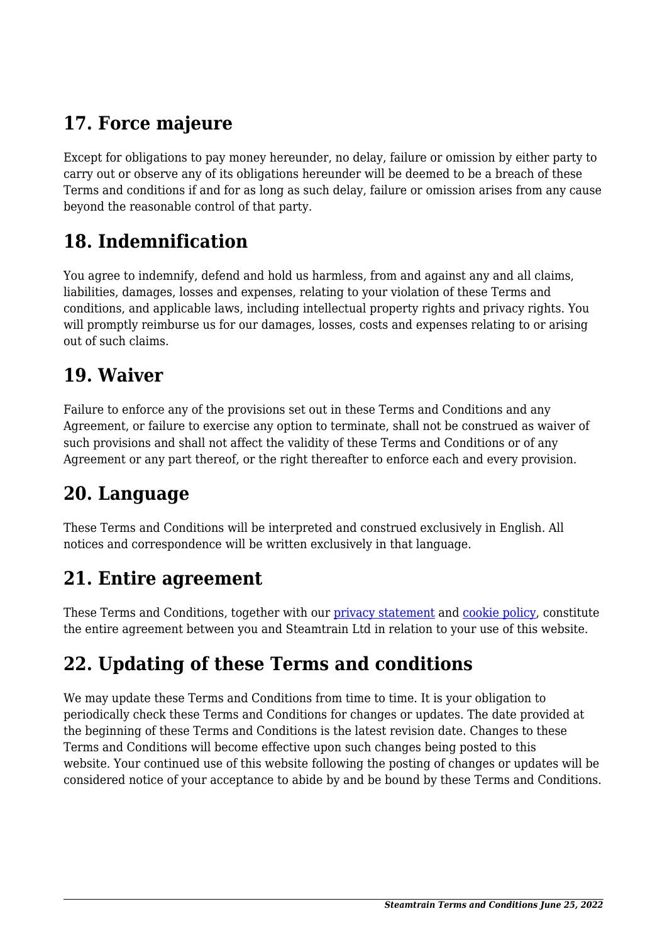# **17. Force majeure**

Except for obligations to pay money hereunder, no delay, failure or omission by either party to carry out or observe any of its obligations hereunder will be deemed to be a breach of these Terms and conditions if and for as long as such delay, failure or omission arises from any cause beyond the reasonable control of that party.

#### **18. Indemnification**

You agree to indemnify, defend and hold us harmless, from and against any and all claims, liabilities, damages, losses and expenses, relating to your violation of these Terms and conditions, and applicable laws, including intellectual property rights and privacy rights. You will promptly reimburse us for our damages, losses, costs and expenses relating to or arising out of such claims.

#### **19. Waiver**

Failure to enforce any of the provisions set out in these Terms and Conditions and any Agreement, or failure to exercise any option to terminate, shall not be construed as waiver of such provisions and shall not affect the validity of these Terms and Conditions or of any Agreement or any part thereof, or the right thereafter to enforce each and every provision.

#### **20. Language**

These Terms and Conditions will be interpreted and construed exclusively in English. All notices and correspondence will be written exclusively in that language.

#### **21. Entire agreement**

These Terms and Conditions, together with our [privacy statement](https://steamtrain.com.cy/privacy-policy/) and [cookie policy,](https://steamtrain.com.cy/cookie-policy-eu/) constitute the entire agreement between you and Steamtrain Ltd in relation to your use of this website.

# **22. Updating of these Terms and conditions**

We may update these Terms and Conditions from time to time. It is your obligation to periodically check these Terms and Conditions for changes or updates. The date provided at the beginning of these Terms and Conditions is the latest revision date. Changes to these Terms and Conditions will become effective upon such changes being posted to this website. Your continued use of this website following the posting of changes or updates will be considered notice of your acceptance to abide by and be bound by these Terms and Conditions.